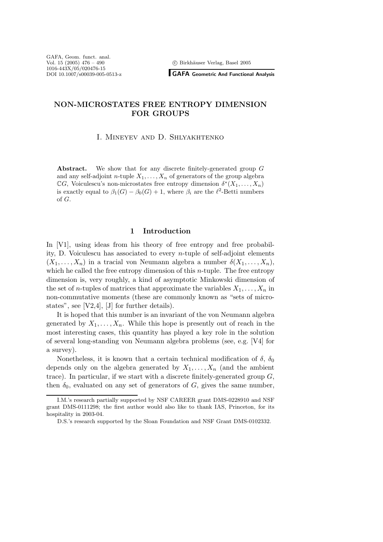<sup>c</sup> Birkh¨auser Verlag, Basel 2005

**GAFA Geometric And Functional Analysis**

# **NON-MICROSTATES FREE ENTROPY DIMENSION FOR GROUPS**

### I. Mineyev and D. Shlyakhtenko

Abstract. We show that for any discrete finitely-generated group G and any self-adjoint *n*-tuple  $X_1, \ldots, X_n$  of generators of the group algebra  $\mathbb{C}G$ , Voiculescu's non-microstates free entropy dimension  $\delta^*(X_1,\ldots,X_n)$ is exactly equal to  $\beta_1(G) - \beta_0(G) + 1$ , where  $\beta_i$  are the  $\ell^2$ -Betti numbers of G.

#### **1 Introduction**

In [V1], using ideas from his theory of free entropy and free probability, D. Voiculescu has associated to every n-tuple of self-adjoint elements  $(X_1,\ldots,X_n)$  in a tracial von Neumann algebra a number  $\delta(X_1,\ldots,X_n)$ , which he called the free entropy dimension of this  $n$ -tuple. The free entropy dimension is, very roughly, a kind of asymptotic Minkowski dimension of the set of *n*-tuples of matrices that approximate the variables  $X_1, \ldots, X_n$  in non-commutative moments (these are commonly known as "sets of microstates", see [V2,4], [J] for further details).

It is hoped that this number is an invariant of the von Neumann algebra generated by  $X_1, \ldots, X_n$ . While this hope is presently out of reach in the most interesting cases, this quantity has played a key role in the solution of several long-standing von Neumann algebra problems (see, e.g. [V4] for a survey).

Nonetheless, it is known that a certain technical modification of  $\delta$ ,  $\delta_0$ depends only on the algebra generated by  $X_1, \ldots, X_n$  (and the ambient trace). In particular, if we start with a discrete finitely-generated group  $G$ , then  $\delta_0$ , evaluated on any set of generators of G, gives the same number,

I.M.'s research partially supported by NSF CAREER grant DMS-0228910 and NSF grant DMS-0111298; the first author would also like to thank IAS, Princeton, for its hospitality in 2003-04.

D.S.'s research supported by the Sloan Foundation and NSF Grant DMS-0102332.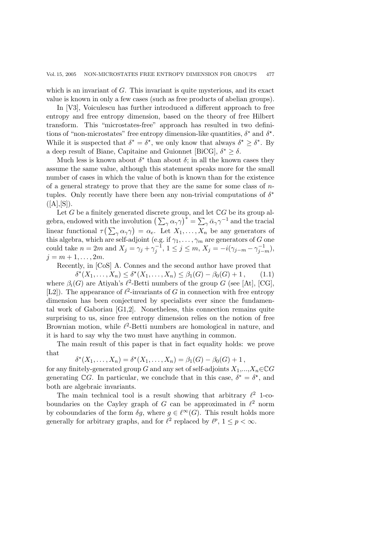which is an invariant of  $G$ . This invariant is quite mysterious, and its exact value is known in only a few cases (such as free products of abelian groups).

In [V3], Voiculescu has further introduced a different approach to free entropy and free entropy dimension, based on the theory of free Hilbert transform. This "microstates-free" approach has resulted in two definitions of "non-microstates" free entropy dimension-like quantities,  $\delta^*$  and  $\delta^*$ . While it is suspected that  $\delta^* = \delta^*$ , we only know that always  $\delta^* \geq \delta^*$ . By a deep result of Biane, Capitaine and Guionnet [BiCG],  $\delta^* > \delta$ .

Much less is known about  $\delta^*$  than about  $\delta$ ; in all the known cases they assume the same value, although this statement speaks more for the small number of cases in which the value of both is known than for the existence of a general strategy to prove that they are the same for some class of  $n$ tuples. Only recently have there been any non-trivial computations of  $\delta^*$  $([A],[S]).$ 

Let G be a finitely generated discrete group, and let  $\mathbb{C}G$  be its group algebra, endowed with the involution  $\left(\sum_{\gamma} \alpha_{\gamma} \gamma\right)^{*} = \sum_{\gamma} \bar{\alpha}_{\gamma} \gamma^{-1}$  and the tracial<br>linear functional  $\sigma(\sum_{\alpha} \alpha_{\alpha})$ linear functional  $\tau(\sum_{\gamma} \alpha_{\gamma} \gamma) = \alpha_e$ . Let  $X_1, \ldots, X_n$  be any generators of this algebra, which are self-adjoint (e.g. if  $\alpha$ ,  $\alpha$ ) are generators of G one this algebra, which are self-adjoint (e.g. if  $\gamma_1, \ldots, \gamma_m$  are generators of G one<br>could take  $n = 2m$  and  $X_i = \gamma_i + \gamma_i^{-1}$ ,  $1 \le i \le m$ ,  $X_i = -i(\gamma_i, \ldots, \gamma_1^{-1})$ . could take  $n = 2m$  and  $X_j = \gamma_j + \gamma_j^{-1}$ ,  $1 \le j \le m$ ,  $X_j = -i(\gamma_{j-m} - \gamma_{j-m}^{-1})$ ,  $i = m + 1$  $j = m + 1, \ldots, 2m$ .

Recently, in [CoS] A. Connes and the second author have proved that

 $\delta^*(X_1,\ldots,X_n) \leq \delta^*(X_1,\ldots,X_n) \leq \beta_1(G) - \beta_0(G) + 1,$  (1.1) where  $\beta_i(G)$  are Atiyah's  $\ell^2$ -Betti numbers of the group G (see [At], [CG], [L2]). The appearance of  $\ell^2$ -invariants of G in connection with free entropy dimension has been conjectured by specialists ever since the fundamental work of Gaboriau [G1,2]. Nonetheless, this connection remains quite surprising to us, since free entropy dimension relies on the notion of free Brownian motion, while  $\ell^2$ -Betti numbers are homological in nature, and it is hard to say why the two must have anything in common.

The main result of this paper is that in fact equality holds: we prove that

 $\delta^*(X_1,\ldots,X_n) = \delta^*(X_1,\ldots,X_n) = \beta_1(G) - \beta_0(G) + 1$ ,

for any finitely-generated group G and any set of self-adjoints  $X_1,...,X_n \in \mathbb{C}G$ generating CG. In particular, we conclude that in this case,  $\delta^* = \delta^*$ , and both are algebraic invariants.

The main technical tool is a result showing that arbitrary  $\ell^2$  1-coboundaries on the Cayley graph of G can be approximated in  $\ell^2$  norm by coboundaries of the form  $\delta g$ , where  $g \in \ell^{\infty}(G)$ . This result holds more generally for arbitrary graphs, and for  $\ell^2$  replaced by  $\ell^p$ ,  $1 \leq p < \infty$ .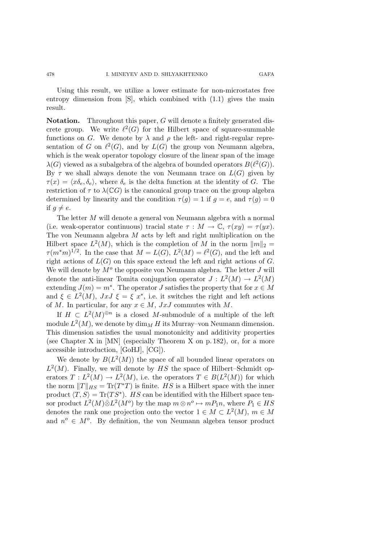Using this result, we utilize a lower estimate for non-microstates free entropy dimension from  $[S]$ , which combined with  $(1.1)$  gives the main result.

**Notation.** Throughout this paper, G will denote a finitely generated discrete group. We write  $\ell^2(G)$  for the Hilbert space of square-summable functions on G. We denote by  $\lambda$  and  $\rho$  the left- and right-regular representation of G on  $\ell^2(G)$ , and by  $L(G)$  the group von Neumann algebra, which is the weak operator topology closure of the linear span of the image  $\lambda(G)$  viewed as a subalgebra of the algebra of bounded operators  $B(\ell^2(G))$ . By  $\tau$  we shall always denote the von Neumann trace on  $L(G)$  given by  $\tau(x) = \langle x \delta_e, \delta_e \rangle$ , where  $\delta_e$  is the delta function at the identity of G. The restriction of  $\tau$  to  $\lambda(\mathbb{C}G)$  is the canonical group trace on the group algebra determined by linearity and the condition  $\tau(g)=1$  if  $g=e$ , and  $\tau(g)=0$ if  $q \neq e$ .

The letter M will denote a general von Neumann algebra with a normal (i.e. weak-operator continuous) tracial state  $\tau : M \to \mathbb{C}, \tau(xy) = \tau(yx)$ . The von Neumann algebra M acts by left and right multiplication on the Hilbert space  $L^2(M)$ , which is the completion of M in the norm  $||m||_2 =$  $\tau(m^*m)^{1/2}$ . In the case that  $M=L(G), L^2(M)=\ell^2(G)$ , and the left and right actions of  $L(G)$  on this space extend the left and right actions of G. We will denote by  $M<sup>o</sup>$  the opposite von Neumann algebra. The letter  $J$  will denote the anti-linear Tomita conjugation operator  $J : L^2(M) \to L^2(M)$ extending  $J(m) = m^*$ . The operator J satisfies the property that for  $x \in M$ and  $\xi \in L^2(M)$ ,  $JxJ \xi = \xi x^*$ , i.e. it switches the right and left actions of M. In particular, for any  $x \in M$ ,  $JxJ$  commutes with M.

If  $H \text{ }\subset L^2(M)^{\oplus n}$  is a closed M-submodule of a multiple of the left module  $L^2(M)$ , we denote by  $\dim_M H$  its Murray–von Neumann dimension. This dimension satisfies the usual monotonicity and additivity properties (see Chapter X in [MN] (especially Theorem X on p. 182), or, for a more accessible introduction, [GoHJ], [CG]).

We denote by  $B(L^2(M))$  the space of all bounded linear operators on  $L^2(M)$ . Finally, we will denote by HS the space of Hilbert–Schmidt operators  $T: L^2(M) \to L^2(M)$ , i.e. the operators  $T \in B(L^2(M))$  for which the norm  $||T||_{HS} = \text{Tr}(T^*T)$  is finite. HS is a Hilbert space with the inner product  $\langle T, S \rangle = \text{Tr}(TS^*)$ . HS can be identified with the Hilbert space tensor product  $L^2(M)\bar{\otimes}L^2(M^o)$  by the map  $m\otimes n^o \mapsto mP_1n$ , where  $P_1 \in HS$ denotes the rank one projection onto the vector  $1 \in M \subset L^2(M)$ ,  $m \in M$ and  $n^o \in M^o$ . By definition, the von Neumann algebra tensor product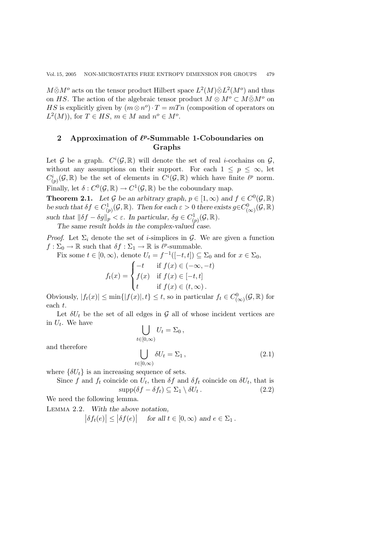$M\bar{\otimes}M^o$  acts on the tensor product Hilbert space  $L^2(M)\bar{\otimes}L^2(M^o)$  and thus on HS. The action of the algebraic tensor product  $M \otimes M^o \subset M \bar{\otimes} M^o$  on HS is explicitly given by  $(m \otimes n^{o}) \cdot T = mT n$  (composition of operators on  $L^2(M)$ , for  $T \in HS$ ,  $m \in M$  and  $n^o \in M^o$ .

## 2 Approximation of  $\ell^p$ -Summable 1-Coboundaries on **Graphs**

Let G be a graph.  $C^i(G,\mathbb{R})$  will denote the set of real *i*-cochains on G,<br>without any assumptions on their support. For each  $1 \le n \le \infty$  let without any assumptions on their support. For each  $1 \leq p \leq \infty$ , let  $C_{(p)}^i(\mathcal{G}, \mathbb{R})$  be the set of elements in  $C^i(\mathcal{G}, \mathbb{R})$  which have finite  $\ell^p$  norm.<br>Einellie let  $S, C^0(\mathcal{G}, \mathbb{R}) \rightarrow C^1(\mathcal{G}, \mathbb{R})$  be the set suppose we we Finally, let  $\delta: C^0(\mathcal{G}, \mathbb{R}) \to C^1(\mathcal{G}, \mathbb{R})$  be the coboundary map.

**Theorem 2.1.** *Let*  $\mathcal{G}$  *be an arbitrary graph,*  $p \in [1, \infty)$  *and*  $f \in C^0(\mathcal{G}, \mathbb{R})$ *be such that*  $\delta f \in C^1_{(p)}(\mathcal{G}, \mathbb{R})$ *. Then for each*  $\varepsilon > 0$  *there exists*  $g \in C^0_{(\infty)}(\mathcal{G}, \mathbb{R})$ *such that*  $\|\delta f - \delta g\|_p < \varepsilon$ . In particular,  $\delta g \in C^1_{(p)}(\mathcal{G}, \mathbb{R})$ .<br>The same result holds in the complex-valued case

The same result holds in the complex-valued case.

*Proof.* Let  $\Sigma_i$  denote the set of *i*-simplices in  $\mathcal{G}$ . We are given a function  $f: \Sigma_0 \to \mathbb{R}$  such that  $\delta f: \Sigma_1 \to \mathbb{R}$  is  $\ell^p$ -summable.

Fix some  $t \in [0, \infty)$ , denote  $U_t = f^{-1}([-t, t]) \subseteq \Sigma_0$  and for  $x \in \Sigma_0$ ,

$$
f_t(x) = \begin{cases} -t & \text{if } f(x) \in (-\infty, -t) \\ f(x) & \text{if } f(x) \in [-t, t] \\ t & \text{if } f(x) \in (t, \infty). \end{cases}
$$

Obviously,  $|f_t(x)| \le \min\{|f(x)|, t\} \le t$ , so in particular  $f_t \in C^0_{(\infty)}(\mathcal{G}, \mathbb{R})$  for each t.

Let  $\delta U_t$  be the set of all edges in G all of whose incident vertices are in  $U_t$ . We have

$$
\bigcup_{t\in[0,\infty)}U_t=\Sigma_0\,,
$$

and therefore

$$
\bigcup_{t \in [0,\infty)} \delta U_t = \Sigma_1, \qquad (2.1)
$$

where  $\{\delta U_t\}$  is an increasing sequence of sets.<br>Since f and f, coincide on  $U_t$ , then  $\delta f$  and

Since f and  $f_t$  coincide on  $U_t$ , then  $\delta f$  and  $\delta f_t$  coincide on  $\delta U_t$ , that is  $\text{supp}(\delta f - \delta f_t) \subseteq \Sigma_1 \setminus \delta U_t$ . (2.2)  $\text{supp}(\delta f - \delta f_t) \subseteq \Sigma_1 \setminus \delta U_t$ .

We need the following lemma.

Lemma 2.2. *With the above notation,*

 $|\delta f_t(e)| \le |\delta f(e)|$  for all  $t \in [0, \infty)$  and  $e \in \Sigma_1$ .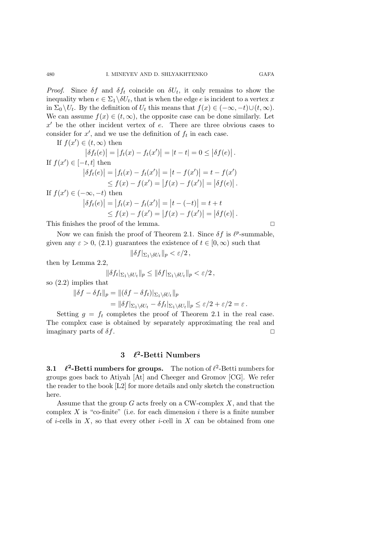*Proof.* Since  $\delta f$  and  $\delta f_t$  coincide on  $\delta U_t$ , it only remains to show the inequality when  $e \in \Sigma_1 \backslash \delta U_t$ , that is when the edge e is incident to a vertex x in  $\Sigma_0 \setminus U_t$ . By the definition of  $U_t$  this means that  $f(x) \in (-\infty, -t) \cup (t, \infty)$ . We can assume  $f(x) \in (t, \infty)$ , the opposite case can be done similarly. Let  $x'$  be the other incident vertex of e. There are three obvious cases to consider for  $x'$ , and we use the definition of  $f_t$  in each case.<br>If  $f(x') \in (t, \infty)$  then

If  $f(x') \in (t, \infty)$  then

$$
\begin{aligned}\n|\delta f_t(e)| &= |f_t(x) - f_t(x')| = |t - t| = 0 \le |\delta f(e)|. \\
\text{If } f(x') \in [-t, t] \text{ then} \\
|\delta f_t(e)| &= |f_t(x) - f_t(x')| = |t - f(x')| = t - f(x') \\
&\le f(x) - f(x') = |f(x) - f(x')| = |\delta f(e)|. \\
\text{If } f(x') \in (-\infty, -t) \text{ then} \\
|\delta f_t(e)| &= |f_t(x) - f_t(x')| = |t - (-t)| = t + t \\
&\le f(x) - f(x') = |f(x) - f(x')| = |\delta f(e)|.\n\end{aligned}
$$
\nThis finishes the proof of the lemma.

Now we can finish the proof of Theorem 2.1. Since  $\delta f$  is  $\ell^p$ -summable, given any  $\varepsilon > 0$ , (2.1) guarantees the existence of  $t \in [0,\infty)$  such that

$$
\|\delta f|_{\Sigma_1\setminus \delta U_t}\|_p < \varepsilon/2\,,
$$

then by Lemma 2.2,

$$
\|\delta f_t|_{\Sigma_1\setminus \delta U_t}\|_p\leq \|\delta f|_{\Sigma_1\setminus \delta U_t}\|_p<\varepsilon/2\,,
$$

so (2.2) implies that

$$
\|\delta f - \delta f_t\|_p = \|(\delta f - \delta f_t)|_{\Sigma_1 \setminus \delta U_t}\|_p
$$
  
= 
$$
\|\delta f|_{\Sigma_1 \setminus \delta U_t} - \delta f_t|_{\Sigma_1 \setminus \delta U_t}\|_p \le \varepsilon/2 + \varepsilon/2 = \varepsilon.
$$

Setting  $g = f_t$  completes the proof of Theorem 2.1 in the real case.<br>Setting case is obtained by congrately approximating the real and The complex case is obtained by separately approximating the real and imaginary parts of  $\delta f$ .

### **3 <sup>2</sup>-Betti Numbers**

**3.1**  $\ell^2$ -Betti numbers for groups. The notion of  $\ell^2$ -Betti numbers for groups goes back to Atiyah [At] and Cheeger and Gromov [CG]. We refer the reader to the book [L2] for more details and only sketch the construction here.

Assume that the group  $G$  acts freely on a CW-complex  $X$ , and that the complex  $X$  is "co-finite" (i.e. for each dimension i there is a finite number of *i*-cells in  $X$ , so that every other *i*-cell in  $X$  can be obtained from one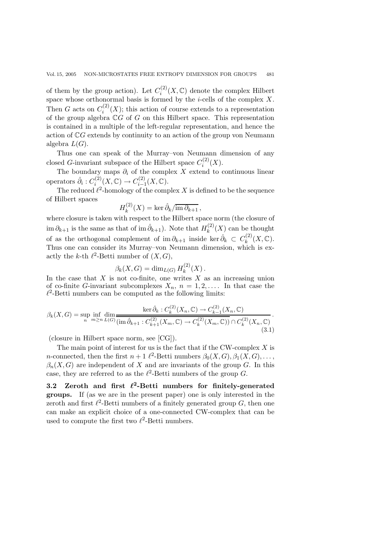of them by the group action). Let  $C_i^{(2)}(X,\mathbb{C})$  denote the complex Hilbert<br>space whose orthonormal basis is formed by the i-cells of the complex Y space whose orthonormal basis is formed by the *i*-cells of the complex  $X$ . Then G acts on  $C_i^{(2)}(X)$ ; this action of course extends to a representation<br>of the group algebra  $\mathbb{C}G$  of G on this Hilbert space. This representation of the group algebra  $\mathbb{C}G$  of G on this Hilbert space. This representation is contained in a multiple of the left-regular representation, and hence the action of <sup>C</sup>G extends by continuity to an action of the group von Neumann algebra  $L(G)$ .

Thus one can speak of the Murray–von Neumann dimension of any closed G-invariant subspace of the Hilbert space  $C_i^{(2)}(X)$ .<br>The boundary maps  $\partial_i$  of the complex X extend to a

The boundary maps  $\partial_i$  of the complex X extend to continuous linear operators  $\hat{\partial}_i: C_i^{(2)}(X,\mathbb{C}) \to C_{i-1}^{(2)}(X,\mathbb{C}).$ <br>The reduced  $\ell^2$  homology of the comp

The reduced  $\ell^2$ -homology of the complex X is defined to be the sequence of Hilbert spaces

$$
H_k^{(2)}(X) = \ker \hat{\partial}_k / \overline{\mathrm{im} \, \partial_{k+1}}
$$

 $H_k^{(2)}(X) = \ker \hat{\partial}_k / \overline{\mathrm{im} \, \partial_{k+1}}$ ,<br>where closure is taken with respect to the Hilbert space norm (the closure of  $\lim \partial_{k+1}$  is the same as that of  $\lim \hat{\partial}_{k+1}$ ). Note that  $H_k^{(2)}(X)$  can be thought of as the orthogonal complement of im  $\partial_{k+1}$  inside ker  $\hat{\partial}_k \subset C_k^{(2)}(X,\mathbb{C})$ .<br>Thus one can consider its Murray–yon Neumann dimension, which is ex-Thus one can consider its Murray–von Neumann dimension, which is exactly the k-th  $\ell^2$ -Betti number of  $(X, G)$ ,

$$
\beta_k(X, G) = \dim_{L(G)} H_k^{(2)}(X).
$$

In the case that X is not co-finite, one writes X as an increasing union<br>of co-finite G-invariant subcomplexes  $X_n$ ,  $n = 1, 2$ . In that case the of co-finite G-invariant subcomplexes  $X_n$ ,  $n = 1, 2, \ldots$  In that case the  $\ell^2$ -Betti numbers can be computed as the following limits:

$$
\beta_k(X, G) = \sup_n \inf_{m \ge n} \lim_{L(G)} \frac{\ker \hat{\partial}_k : C_k^{(2)}(X_n, \mathbb{C}) \to C_{k-1}^{(2)}(X_n, \mathbb{C})}{(\mathrm{im}\,\hat{\partial}_{k+1} : C_{k+1}^{(2)}(X_m, \mathbb{C}) \to C_k^{(2)}(X_m, \mathbb{C})) \cap C_k^{(2)}(X_n, \mathbb{C})}.
$$
\n(3.1)

(closure in Hilbert space norm, see [CG]).

The main point of interest for us is the fact that if the CW-complex X is *n*-connected, then the first  $n + 1$   $\ell^2$ -Betti numbers  $\beta_0(X, G), \beta_1(X, G), \ldots$ n-connected, then the first  $n+1$   $\ell^2$ -Betti numbers  $\beta_0(X, G), \beta_1(X, G), \ldots$ ,<br> $\beta_n(X, G)$  are independent of X and are invariants of the group  $G$ . In this  $\beta_n(X, G)$  are independent of X and are invariants of the group G. In this case, they are referred to as the  $\ell^2$ -Betti numbers of the group G.<br>3.2 Zeroth and first  $\ell^2$ -Betti numbers for finitely-ge

**Zeroth and first**  $\ell^2$ **-Betti numbers for finitely-generated groups.** If (as we are in the present paper) one is only interested in the zeroth and first  $\ell^2$ -Betti numbers of a finitely generated group G, then one can make an explicit choice of a one-connected CW-complex that can be used to compute the first two  $\ell^2$ -Betti numbers.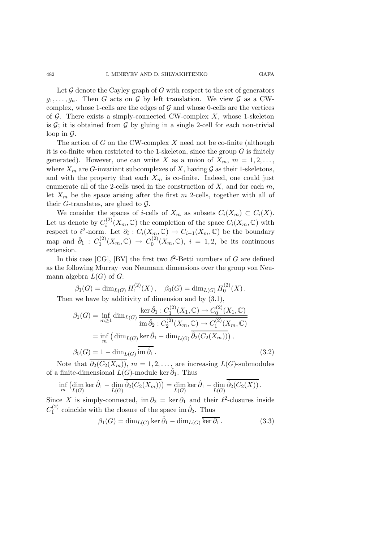Let  $G$  denote the Cayley graph of  $G$  with respect to the set of generators  $g_1,\ldots,g_n$ . Then G acts on G by left translation. We view G as a CWcomplex, whose 1-cells are the edges of  $G$  and whose 0-cells are the vertices of G. There exists a simply-connected CW-complex X, whose 1-skeleton is  $G$ ; it is obtained from  $G$  by gluing in a single 2-cell for each non-trivial loop in  $\mathcal{G}$ .

The action of  $G$  on the CW-complex  $X$  need not be co-finite (although it is co-finite when restricted to the 1-skeleton, since the group  $G$  is finitely generated). However, one can write X as a union of  $X_m$ ,  $m = 1, 2, \ldots$ , where  $X_m$  are G-invariant subcomplexes of X, having G as their 1-skeletons, and with the property that each  $X_m$  is co-finite. Indeed, one could just enumerate all of the 2-cells used in the construction of  $X$ , and for each  $m$ , let  $X_m$  be the space arising after the first m 2-cells, together with all of their G-translates, are glued to  $\mathcal{G}$ .

We consider the spaces of *i*-cells of  $X_m$  as subsets  $C_i(X_m) \subset C_i(X)$ . Let us denote by  $C_i^{(2)}(X_m, \mathbb{C})$  the completion of the space  $C_i(X_m, \mathbb{C})$  with<br>respect to  $\ell^2$ -porm. Let  $\partial_i : C_i(X, \mathbb{C}) \to C_{i-1}(X, \mathbb{C})$  be the boundary respect to  $\ell^2$ -norm. Let  $\partial_i : C_i(X_m, \mathbb{C}) \to C_{i-1}(X_m, \mathbb{C})$  be the boundary map and  $\hat{\partial}_1: C_1^{(2)}(X_m, \mathbb{C}) \to C_0^{(2)}(X_m, \mathbb{C}), i = 1, 2$ , be its continuous extension.

In this case [CG], [BV] the first two  $\ell^2$ -Betti numbers of G are defined as the following Murray–von Neumann dimensions over the group von Neumann algebra  $L(G)$  of  $G$ :

$$
\beta_1(G) = \dim_{L(G)} H_1^{(2)}(X), \quad \beta_0(G) = \dim_{L(G)} H_0^{(2)}(X).
$$
  
Then we have by additivity of dimension and by (3.1),  

$$
\beta_1(G) = \inf_{m \ge 1} \dim_{L(G)} \frac{\ker \hat{\partial}_1 : C_1^{(2)}(X_1, \mathbb{C}) \to C_0^{(2)}(X_1, \mathbb{C})}{\mathrm{im} \hat{\partial}_2 : C_2^{(2)}(X_m, \mathbb{C}) \to C_1^{(2)}(X_m, \mathbb{C})}
$$

$$
= \inf_m \left( \dim_{L(G)} \ker \hat{\partial}_1 - \dim_{L(G)} \overline{\hat{\partial}_2(C_2(X_m))} \right),
$$

$$
\beta_0(G) = 1 - \dim_{L(G)} \overline{\mathrm{im} \hat{\partial}_1}. \tag{3.2}
$$

Note that  $\partial_2(C_2(X_m))$ ,  $m = 1, 2, \ldots$ , are increasing  $L(G)$ -submodules of a finite-dimensional  $L(G)$ -module ker  $\hat{\partial}_1$ . Thus

$$
\inf_{m} \left( \dim_{L(G)} \ker \hat{\partial}_1 - \dim_{L(G)} \overline{\hat{\partial}_2(C_2(X_m))} \right) = \dim_{L(G)} \ker \hat{\partial}_1 - \dim_{L(G)} \overline{\hat{\partial}_2(C_2(X))} .
$$

Since X is simply-connected, im  $\partial_2 = \ker \partial_1$  and their  $\ell^2$ -closures inside  $C_1^{(2)}$  coincide with the closure of the space im  $\hat{\partial}_2$ . Thus

$$
\beta_1(G) = \dim_{L(G)} \ker \hat{\partial}_1 - \dim_{L(G)} \overline{\ker \partial_1}.
$$
 (3.3)

482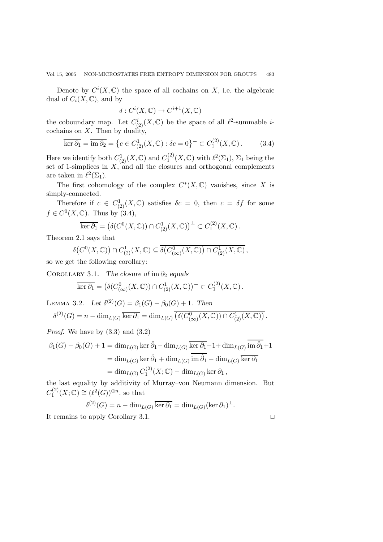Denote by  $C^i(X, \mathbb{C})$  the space of all cochains on X, i.e. the algebraic dual of  $C_i(X, \mathbb{C})$ , and by

$$
\delta: C^i(X, \mathbb{C}) \to C^{i+1}(X, \mathbb{C})
$$

the coboundary map. Let  $C^i_{(2)}(X, \mathbb{C})$  be the space of all  $\ell^2$ -summable *i*-<br>cochains on X. Then by duality cochains on  $X$ . Then by duality,

$$
\overline{\ker \partial_1} = \overline{\mathrm{im} \partial_2} = \left\{ c \in C^1_{(2)}(X, \mathbb{C}) : \delta c = 0 \right\}^\perp \subset C^{(2)}_1(X, \mathbb{C}) \,. \tag{3.4}
$$

Here we identify both  $C^1_{(2)}(X,\mathbb{C})$  and  $C^{(2)}_1(X,\mathbb{C})$  with  $\ell^2(\Sigma_1)$ ,  $\Sigma_1$  being the set of 1-simplices in X and all the closures and orthogonal complements set of 1-simplices in X, and all the closures and orthogonal complements<br>are taken in  $\ell^2(\Sigma)$ are taken in  $\ell^2(\Sigma_1)$ .

The first cohomology of the complex  $C^*(X, \mathbb{C})$  vanishes, since X is simply-connected.

Therefore if  $c \in C^1_{(2)}(X, \mathbb{C})$  satisfies  $\delta c = 0$ , then  $c = \delta f$  for some  $C^0(X, \mathbb{C})$ . Thus he  $(2, 4)$  $f \in C^0(X, \mathbb{C})$ . Thus by  $(3.4)$ ,

$$
\overline{\ker \partial_1} = \left( \delta(C^0(X, \mathbb{C})) \cap C^1_{(2)}(X, \mathbb{C}) \right)^\perp \subset C^{(2)}_1(X, \mathbb{C}).
$$

Theorem 2.1 says that

$$
\delta(C^0(X,\mathbb{C})) \cap C^1_{(2)}(X,\mathbb{C}) \subseteq \overline{\delta(C^0_{(\infty)}(X,\mathbb{C}))} \cap C^1_{(2)}(X,\mathbb{C}),
$$

so we get the following corollary:

COROLLARY 3.1. *The closure of* im  $\partial_2$  *equals* 

$$
\overline{\ker \partial_1} = \left( \delta(C^0_{(\infty)}(X, \mathbb{C})) \cap C^1_{(2)}(X, \mathbb{C}) \right)^{\perp} \subset C_1^{(2)}(X, \mathbb{C}).
$$

LEMMA 3.2. *Let*  $\delta^{(2)}(G) = \beta_1(G) - \beta_0(G) + 1$ . Then  $\delta^{(2)}(G) = n - \dim_{L(G)} \overline{\ker \partial_1} = \dim_{L(G)} \overline{(\delta(C^0_{(\infty)}(X, \mathbb{C})) \cap C^1_{(2)}(X, \mathbb{C}))}$ 

*Proof*. We have by (3.3) and (3.2)

$$
\beta_1(G) - \beta_0(G) + 1 = \dim_{L(G)} \ker \hat{\partial}_1 - \dim_{L(G)} \overline{\ker \partial_1} - 1 + \dim_{L(G)} \overline{\mathrm{im} \, \hat{\partial}_1} + 1
$$
  
= 
$$
\dim_{L(G)} \ker \hat{\partial}_1 + \dim_{L(G)} \overline{\mathrm{im} \, \hat{\partial}_1} - \dim_{L(G)} \overline{\ker \partial_1}
$$
  
= 
$$
\dim_{L(G)} C_1^{(2)}(X; \mathbb{C}) - \dim_{L(G)} \overline{\ker \partial_1},
$$

the last equality by additivity of Murray–von Neumann dimension. But  $C_1^{(2)}(X;\mathbb{C}) \cong (\ell^2(G))^{\oplus n}$ , so that

$$
\delta^{(2)}(G) = n - \dim_{L(G)} \overline{\ker \partial_1} = \dim_{L(G)} (\ker \partial_1)^{\perp}.
$$

It remains to apply Corollary 3.1.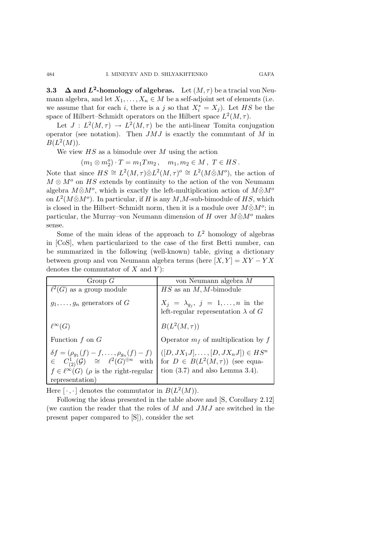**3.3**  $\Delta$  and  $L^2$ **-homology of algebras.** Let  $(M, \tau)$  be a tracial von Neumann algebra, and let  $X_1, \ldots, X_n \in M$  be a self-adjoint set of elements (i.e. we assume that for each *i*, there is a j so that  $X_i^* = X_j$ ). Let HS be the space of Hilbert–Schmidt operators on the Hilbert space  $I^2(M\tau)$ space of Hilbert–Schmidt operators on the Hilbert space  $L^2(M, \tau)$ .

Let  $J: L^2(M, \tau) \to L^2(M, \tau)$  be the anti-linear Tomita conjugation operator (see notation). Then  $JMJ$  is exactly the commutant of  $M$  in  $B(L^2(M)).$ 

We view  $HS$  as a bimodule over M using the action

 $(m_1 \otimes m_2^o) \cdot T = m_1 T m_2, \quad m_1, m_2 \in M, \ T \in HS.$ <br> $\vdots$   $H \otimes m_1^o \otimes T^o(M_1) \otimes T^o(M_2) \otimes T^o(M_1) \otimes T^o(M_2) \otimes T^o(M_1) \otimes T^o(M_2)$ 

Note that since  $HS \cong L^2(M, \tau) \bar{\otimes} L^2(M, \tau)^{\circ} \cong L^2(M \bar{\otimes} M^{\circ})$ , the action of  $M \otimes M^o$  on HS extends by continuity to the action of the von Neumann algebra  $M\bar{\otimes}M^o$ , which is exactly the left-multiplication action of  $M\bar{\otimes}M^o$ on  $L^2(M\bar{\otimes}M^o)$ . In particular, if H is any M,M-sub-bimodule of HS, which is closed in the Hilbert–Schmidt norm, then it is a module over  $M\bar{\otimes}M^{o}$ ; in particular, the Murray–von Neumann dimension of H over  $M\bar{\otimes}M^o$  makes sense.

Some of the main ideas of the approach to  $L^2$  homology of algebras in [CoS], when particularized to the case of the first Betti number, can be summarized in the following (well-known) table, giving a dictionary between group and von Neumann algebra terms (here  $[X, Y] = XY - YX$ denotes the commutator of  $X$  and  $Y$ :

| Group $G$                                                                                                                                                                            | von Neumann algebra M                                                                                                      |
|--------------------------------------------------------------------------------------------------------------------------------------------------------------------------------------|----------------------------------------------------------------------------------------------------------------------------|
| $\ell^2(G)$ as a group module                                                                                                                                                        | $HS$ as an $M, M$ -bimodule                                                                                                |
| $g_1, \ldots, g_n$ generators of G                                                                                                                                                   | $X_j = \lambda_{g_j}, \ j = 1, \ldots, n$ in the<br>left-regular representation $\lambda$ of $G$                           |
| $\ell^\infty(G)$                                                                                                                                                                     | $B(L^2(M,\tau))$                                                                                                           |
| Function $f$ on $G$                                                                                                                                                                  | Operator $m_f$ of multiplication by $f$                                                                                    |
| $\delta f = (\rho_{g_1}(f) - f, \dots, \rho_{g_n}(f) - f)$<br>$\in C^1_{(2)}(\mathcal{G}) \cong \ell^2(G)^{\oplus n}$ with<br>$f \in \ell^{\infty}(G)$ ( $\rho$ is the right-regular | $([D, JX_1J], \ldots, [D, JX_nJ]) \in HS^n$<br>for $D \in B(L^2(M, \tau))$ (see equa-<br>tion $(3.7)$ and also Lemma 3.4). |
| representation)                                                                                                                                                                      |                                                                                                                            |

Here  $[\cdot,\cdot]$  denotes the commutator in  $B(L^2(M))$ .

Following the ideas presented in the table above and [S, Corollary 2.12] (we caution the reader that the roles of  $M$  and  $JMJ$  are switched in the present paper compared to [S]), consider the set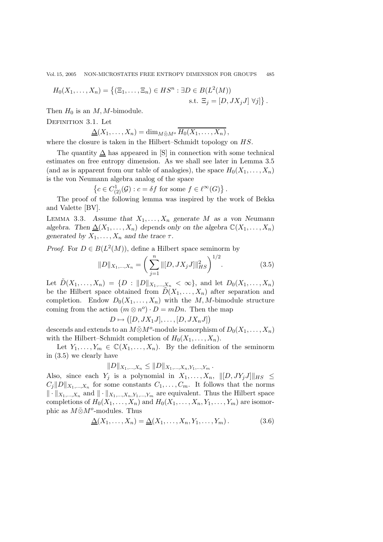Vol. 15, 2005 NON-MICROSTATES FREE ENTROPY DIMENSION FOR GROUPS 485

$$
H_0(X_1,\ldots,X_n) = \{ (\Xi_1,\ldots,\Xi_n) \in HS^n : \exists D \in B(L^2(M))
$$
  
s.t.  $\Xi_j = [D, JX_j J] \ \forall j \}$ .

Then  $H_0$  is an M, M-bimodule.

DEFINITION 3.1. Let

$$
\underline{\Delta}(X_1,\ldots,X_n)=\dim_{M\bar{\otimes}M^o}\overline{H_0(X_1,\ldots,X_n)},
$$

where the closure is taken in the Hilbert–Schmidt topology on  $HS$ .

The quantity  $\Delta$  has appeared in [S] in connection with some technical estimates on free entropy dimension. As we shall see later in Lemma 3.5 (and as is apparent from our table of analogies), the space  $H_0(X_1,\ldots,X_n)$ is the von Neumann algebra analog of the space

$$
\left\{c \in C^1_{(2)}(\mathcal{G}) : c = \delta f \text{ for some } f \in \ell^{\infty}(G) \right\}.
$$

 ${c \in C^1_{(2)}(\mathcal{G}) : c = \delta f \text{ for some } f \in \ell^{\infty}(G)}$ .<br>The proof of the following lemma was inspired by the work of Bekka and Valette [BV].

LEMMA 3.3. Assume that  $X_1, \ldots, X_n$  generate M as a von Neumann *algebra.* Then  $\Delta(X_1,\ldots,X_n)$  depends only on the algebra  $\mathbb{C}(X_1,\ldots,X_n)$ *generated by*  $X_1, \ldots, X_n$  *and the trace*  $\tau$ *.* 

*Proof.* For  $D \in B(L^2(M))$ , define a Hilbert space seminorm by

$$
||D||_{X_1,\dots,X_n} = \left(\sum_{j=1}^n ||[D, JX_j J]||_{HS}^2\right)^{1/2}.
$$
 (3.5)

Let  $\tilde{D}(X_1,\ldots,X_n) = \{D : ||D||_{X_1,\ldots,X_n} < \infty\}$ , and let  $D_0(X_1,\ldots,X_n)$ <br>be the Hilbert space obtained from  $\tilde{D}(X_1,\ldots,X_n)$ be the Hilbert space obtained from  $\tilde{D}(X_1,\ldots,X_n)$  after separation and completion. Endow  $D_0(X_1,\ldots,X_n)$  with the M,M-bimodule structure coming from the action  $(m \otimes n^o) \cdot D = mDn$ . Then the map

 $D \mapsto ([D, JX_1J], \ldots, [D, JX_nJ])$ 

descends and extends to an  $M\bar{\otimes}M^o$ -module isomorphism of  $D_0(X_1,\ldots,X_n)$ with the Hilbert–Schmidt completion of  $H_0(X_1,\ldots,X_n)$ .

Let  $Y_1,\ldots,Y_m\in\mathbb{C}(X_1,\ldots,X_n)$ . By the definition of the seminorm in (3.5) we clearly have

$$
||D||_{X_1,\ldots,X_n} \leq ||D||_{X_1,\ldots,X_n,Y_1,\ldots,Y_m}.
$$

Also, since each  $Y_j$  is a polynomial in  $X_1, \ldots, X_n$ ,  $\|[D, JY_jJ]\|_{HS} \leq C \|\Pi\|_{W}$  is the some constants  $C \subset C$ . It follows that the norms  $C_j||D||_{X_1,\ldots,X_n}$  for some constants  $C_1,\ldots,C_m$ . It follows that the norms  $\|\cdot\|_{X_1,\ldots,X_n}$  and  $\|\cdot\|_{X_1,\ldots,X_n,Y_1,\ldots,Y_m}$  are equivalent. Thus the Hilbert space completions of  $H_0(X_1,\ldots,X_n)$  and  $H_0(X_1,\ldots,X_n,Y_1,\ldots,Y_m)$  are isomorphic as  $M\bar{\otimes}M^o$ -modules. Thus

$$
\underline{\Delta}(X_1,\ldots,X_n) = \underline{\Delta}(X_1,\ldots,X_n,Y_1,\ldots,Y_m). \tag{3.6}
$$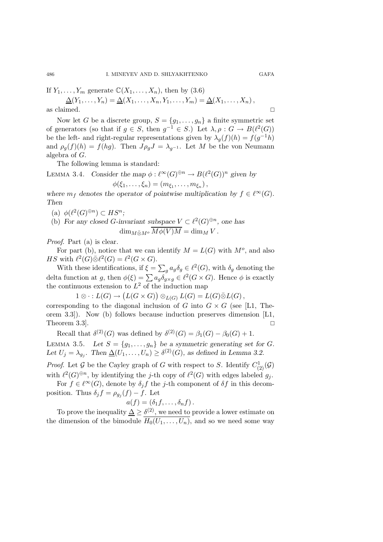If  $Y_1, \ldots, Y_m$  generate  $\mathbb{C}(X_1, \ldots, X_n)$ , then by  $(3.6)$ 

$$
\underline{\Delta}(Y_1,\ldots,Y_n) = \underline{\Delta}(X_1,\ldots,X_n,Y_1,\ldots,Y_m) = \underline{\Delta}(X_1,\ldots,X_n),
$$
 as claimed.

Now let G be a discrete group,  $S = \{g_1, \ldots, g_n\}$  a finite symmetric set of generators (so that if  $g \in S$ , then  $g^{-1} \in S$ .) Let  $\lambda, \rho : G \to B(\ell^2(G))$ be the left- and right-regular representations given by  $\lambda_q(f)(h) = f(g^{-1}h)$ and  $\rho_g(f)(h) = f(hg)$ . Then  $J\rho_g J = \lambda_{g^{-1}}$ . Let M be the von Neumann algebra of G.

The following lemma is standard:

LEMMA 3.4. Consider the map 
$$
\phi : \ell^{\infty}(G)^{\oplus n} \to B(\ell^2(G))^n
$$
 given by  
\n
$$
\phi(\xi_1, \dots, \xi_n) = (m_{\xi_1}, \dots, m_{\xi_n}),
$$
\nwhere  $m$  denotes the operator of positive multiplication by  $f \in \ell^{\infty}$ 

*where*  $m_f$  *denotes the operator of pointwise multiplication by*  $f \in \ell^{\infty}(G)$ *.*<br>Then *Then*

- (a)  $\phi(\ell^2(G)^{\oplus n}) \subset HS^n;$
- (b) *For any closed G-invariant subspace*  $V \subset \ell^2(G) \oplus n$ , one has  $\dim_{M\bar{\otimes}M^o}\overline{M\phi(V)M}=\dim_MV$ .

*Proof*. Part (a) is clear.

For part (b), notice that we can identify  $M = L(G)$  with  $M^o$ , and also HS with  $\ell^2(G)\bar{\otimes}\ell^2(G) = \ell^2(G\times G)$ .

With these identifications, if  $\xi = \sum_g a_g \delta_g \in \ell^2(G)$ , with  $\delta_g$  denoting the delta function at g, then  $\phi(\xi) = \sum a_g \delta_{g \times g} \in \ell^2(G \times G)$ . Hence  $\phi$  is exactly the continuous extension to  $I^2$  of the induction map the continuous extension to  $L^2$  of the induction map

 $1 \otimes \cdot : L(G) \to (L(G \times G)) \otimes_{L(G)} L(G) = L(G) \bar{\otimes} L(G),$ <br>dinn to the diamonal inclusion of G inte G  $\vee G$  (see

corresponding to the diagonal inclusion of G into  $G \times G$  (see [L1, Theorem 3.3]). Now (b) follows because induction preserves dimension [L1, Theorem 3.3.  $\Box$ 

Recall that  $\delta^{(2)}(G)$  was defined by  $\delta^{(2)}(G) = \beta_1(G) - \beta_0(G) + 1$ .

LEMMA 3.5. Let  $S = \{g_1, \ldots, g_n\}$  be a symmetric generating set for G. Let  $U_j = \lambda_{g_j}$ . Then  $\underline{\Delta}(U_1,\ldots,U_n) \geq \delta^{(2)}(G)$ *, as defined in Lemma 3.2.* 

*Proof.* Let G be the Cayley graph of G with respect to S. Identify  $C^1_{(2)}(\mathcal{G})$ with  $\ell^2(G) \oplus n$ , by identifying the j-th copy of  $\ell^2(G)$  with edges labeled  $g_i$ .

For  $f \in \ell^{\infty}(G)$ , denote by  $\delta_i f$  the j-th component of  $\delta f$  in this decomposition. Thus  $\delta_j f = \rho_{g_j}(f) - f$ . Let

$$
a(f) = (\delta_1 f, \dots, \delta_n f).
$$

To prove the inequality  $\Delta \geq \delta^{(2)}$ , we need to provide a lower estimate on dimension of the bimodule  $H_2(U_1, U_1)$  and so we need some way the dimension of the bimodule  $H_0(U_1,\ldots,U_n)$ , and so we need some way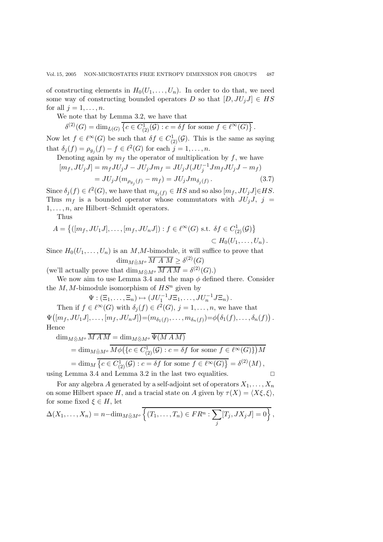of constructing elements in  $H_0(U_1,\ldots,U_n)$ . In order to do that, we need some way of constructing bounded operators D so that  $[D, JU_jJ] \in HS$ for all  $j = 1, \ldots, n$ .

We note that by Lemma 3.2, we have that

$$
\delta^{(2)}(G) = \dim_{L(G)} \left\{ c \in C^1_{(2)}(\mathcal{G}) : c = \delta f \text{ for some } f \in \ell^{\infty}(G) \right\}.
$$

Now let  $f \in \ell^{\infty}(G)$  be such that  $\delta f \in C_{\ell}^{1}(\mathcal{G})$ . This is the same as saying that  $\delta_j(f) = \rho_{g_j}(f) - f \in \ell^2(G)$  for each  $j = 1, \ldots, n$ .

Denoting again by  $m_f$  the operator of multiplication by f, we have

$$
[m_f, JU_jJ] = m_fJU_jJ - JU_jJm_f = JU_jJ(JU_j^{-1}Jm_fJU_jJ - m_f)
$$

$$
= J U_j J (m_{\rho_{g_j}(f)} - m_f) = J U_j J m_{\delta_j(f)}.
$$
\n(3.7)

Since  $\delta_j(f) \in \ell^2(G)$ , we have that  $m_{\delta_j(f)} \in HS$  and so also  $[m_f, JU_jJ] \in HS$ .<br>Thus  $m_f$  is a bounded operator whose commutators with  $H^f$ ,  $I^f$  i Thus  $m_f$  is a bounded operator whose commutators with  $JU_jJ$ ,  $j =$  $1, \ldots, n$ , are Hilbert–Schmidt operators.

Thus

$$
A = \{ ([m_f, JU_1J], \dots, [m_f, JU_nJ]) : f \in \ell^{\infty}(G) \text{ s.t. } \delta f \in C^1_{(2)}(\mathcal{G}) \} \subset H_0(U_1, \dots, U_n).
$$

Since  $H_0(U_1,\ldots,U_n)$  is an M,M-bimodule, it will suffice to prove that dim<sub>M</sub>⊗<sub>M</sub><sub>o</sub>  $\overline{M A M} \geq \delta^{(2)}(G)$ 

(we'll actually prove that  $\dim_{M\bar{\otimes}M^o}\overline{MAM}=\delta^{(2)}(G).$ )

We now aim to use Lemma 3.4 and the map  $\phi$  defined there. Consider the  $M, M$ -bimodule isomorphism of  $HS<sup>n</sup>$  given by

 $\Psi : (\Xi_1, \ldots, \Xi_n) \mapsto (J U_1^{-1} J \Xi_1, \ldots, J U_n^{-1} J \Xi_n).$ <br> $\in \ell^{\infty}(C)$  with  $S(\ell) \in \ell^{2}(C)$ , i.i.d. Then if  $f \in \ell^{\infty}(G)$  with  $\delta_i(f) \in \ell^2(G), i = 1, \ldots, n$ , we have that

 $\Psi([m_f, JU_1J], \ldots, [m_f, JU_nJ]) = (m_{\delta_1(f)}, \ldots, m_{\delta_n(f)}) = \phi(\delta_1(f), \ldots, \delta_n(f))$ Hence

$$
\dim_{M\bar{\otimes}M^o} \overline{M}\overline{A}\overline{M} = \dim_{M\bar{\otimes}M^o} \Psi(M\overline{A}\overline{M})
$$
\n
$$
= \dim_{M\bar{\otimes}M^o} \overline{M\phi(\lbrace c \in C^1_{(2)}(\mathcal{G}) : c = \delta f \text{ for some } f \in \ell^{\infty}(G) \rbrace} \overline{M}
$$
\n
$$
= \dim_M \overline{\lbrace c \in C^1_{(2)}(\mathcal{G}) : c = \delta f \text{ for some } f \in \ell^{\infty}(G) \rbrace} = \delta^{(2)}(M),
$$
\nusing Lemma 3.4 and Lemma 3.2 in the last two equalities.

For any algebra A generated by a self-adjoint set of operators  $X_1, \ldots, X_n$ on some Hilbert space H, and a tracial state on A given by  $\tau(X) = \langle X\xi, \xi \rangle$ , for some fixed  $\xi \in H$ , let

$$
\Delta(X_1,\ldots,X_n)=n-\dim_{M\bar{\otimes}M^o}\overline{\{(T_1,\ldots,T_n)\in FR^n:\sum_j [T_j,JX_jJ]=0\}},
$$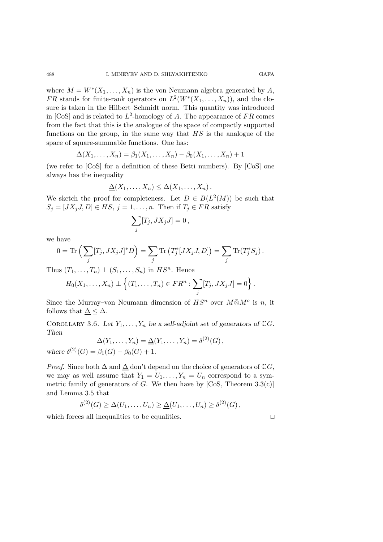where  $M = W^*(X_1, \ldots, X_n)$  is the von Neumann algebra generated by A, FR stands for finite-rank operators on  $L^2(W^*(X_1,\ldots,X_n))$ , and the closure is taken in the Hilbert–Schmidt norm. This quantity was introduced in [CoS] and is related to  $L^2$ -homology of A. The appearance of FR comes from the fact that this is the analogue of the space of compactly supported functions on the group, in the same way that  $HS$  is the analogue of the space of square-summable functions. One has:

$$
\Delta(X_1,\ldots,X_n)=\beta_1(X_1,\ldots,X_n)-\beta_0(X_1,\ldots,X_n)+1
$$

(we refer to [CoS] for a definition of these Betti numbers). By [CoS] one always has the inequality

$$
\underline{\Delta}(X_1,\ldots,X_n)\leq \Delta(X_1,\ldots,X_n).
$$

We sketch the proof for completeness. Let  $D \in B(L^2(M))$  be such that  $S_j = [JX_jJ, D] \in HS, j = 1, \ldots, n$ . Then if  $T_j \in FR$  satisfy

$$
\sum_j [T_j, JX_j J] = 0,
$$

we have

$$
0 = \text{Tr}\left(\sum_{j} [T_j, JX_j J]^* D\right) = \sum_{j} \text{Tr}\left(T_j^* [JX_j J, D]\right) = \sum_{j} \text{Tr}(T_j^* S_j).
$$

Thus  $(T_1,\ldots,T_n) \perp (S_1,\ldots,S_n)$  in  $HS^n$ . Hence

$$
H_0(X_1,\ldots,X_n)\perp\left\{(T_1,\ldots,T_n)\in FR^n:\sum_j [T_j,JX_jJ]=0\right\}.
$$

Since the Murray–von Neumann dimension of  $HS<sup>n</sup>$  over  $M\bar{\otimes}M<sup>o</sup>$  is n, it follows that  $\Lambda < \Lambda$ follows that  $\Delta \leq \Delta$ .

COROLLARY 3.6. Let  $Y_1, \ldots, Y_n$  be a self-adjoint set of generators of  $\mathbb{C}G$ . *Then*

$$
\Delta(Y_1,\ldots,Y_n)=\underline{\Delta}(Y_1,\ldots,Y_n)=\delta^{(2)}(G),
$$
  

$$
\Delta(X_1,\ldots,X_n)=\Delta^{(2)}(G),
$$

*where*  $\delta^{(2)}(G) = \beta_1(G) - \beta_0(G) + 1$ *.* 

*Proof.* Since both  $\Delta$  and  $\underline{\Delta}$  don't depend on the choice of generators of  $\mathbb{C}G$ , we may as well assume that  $Y_1 = U_1, \ldots, Y_n = U_n$  correspond to a symmetric family of generators of G. We then have by  $[CoS, Theorem 3.3(c)]$ and Lemma 3.5 that

$$
\delta^{(2)}(G) \geq \Delta(U_1,\ldots,U_n) \geq \underline{\Delta}(U_1,\ldots,U_n) \geq \delta^{(2)}(G),
$$

which forces all inequalities to be equalities.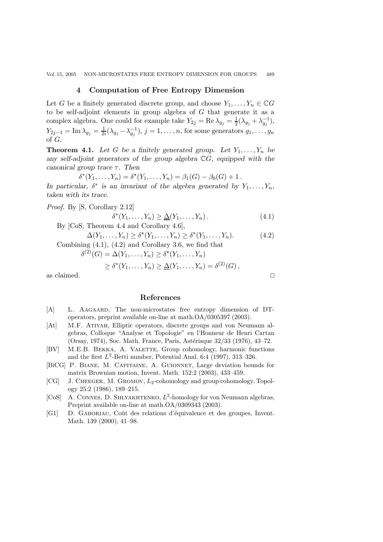### **4 Computation of Free Entropy Dimension**

Let G be a finitely generated discrete group, and choose  $Y_1, \ldots, Y_n \in \mathbb{C}G$ to be self-adjoint elements in group algebra of G that generate it as a complex algebra. One could for example take  $Y_{2j} = \text{Re }\lambda_{g_j} = \frac{1}{2}(\lambda_{g_j} + \lambda_{g_j}^{-1}),$ <br> $Y_{2j} = \text{Im }\lambda_{g_j} = \frac{1}{2}(\lambda_{g_j} + \lambda_{g_j}^{-1})$  $Y_{2j-1} = \text{Im }\lambda_{g_j} = \frac{1}{2i}(\lambda_{g_j} - \lambda_{g_j}^{-1}), j = 1, \ldots, n$ , for some generators  $g_1, \ldots, g_n$ of G.

**Theorem 4.1.** Let G be a finitely generated group. Let  $Y_1, \ldots, Y_n$  be *any self-adjoint generators of the group algebra* <sup>C</sup>G*, equipped with the canonical group trace*  $\tau$ *. Then*<br> $\delta^*(Y_1, \ldots, Y_n) = \delta^*(Y_n)$ 

$$
\delta^*(Y_1, \dots, Y_n) = \delta^*(Y_1, \dots, Y_n) = \beta_1(G) - \beta_0(G) + 1.
$$
  
for  $\delta^*$  is an invariant of the slæbre generated by

*In particular,*  $\delta^*$  *is an invariant of the algebra generated by*  $Y_1, \ldots, Y_n$ , taken with its trace *taken with its trace.*

*Proof*. By [S, Corollary 2.12]  $\delta^*(Y_1, ..., Y_n) \ge \underline{\Delta}(Y_1, ..., Y_n).$  (4.1)

By [CoS, Theorem 4.4 and Corollary 4.6],

$$
\Delta(Y_1, \dots, Y_n) \ge \delta^*(Y_1, \dots, Y_n) \ge \delta^*(Y_1, \dots, Y_n).
$$
\nCombining (4.1), (4.2) and Corollary 3.6, we find that

$$
\delta^{(2)}(G) = \Delta(Y_1, \dots, Y_n) \ge \delta^*(Y_1, \dots, Y_n)
$$
  
\n
$$
\ge \delta^*(Y_1, \dots, Y_n) \ge \underline{\Delta}(Y_1, \dots, Y_n) = \delta^{(2)}(G),
$$

as claimed.  $\hfill \Box$ 

### **References**

- [A] L. AAGAARD, The non-microstates free entropy dimension of DToperators, preprint available on-line at math.OA/0305397 (2003).
- [At] M.F. Atiyah, Elliptic operators, discrete groups and von Neumann algebras, Colloque "Analyse et Topologie" en l'Honneur de Henri Cartan (Orsay, 1974), Soc. Math. France, Paris, Astérisque 32/33 (1976), 43–72.
- [BV] M.E.B. BEKKA, A. VALETTE, Group cohomology, harmonic functions and the first  $L^2$ -Betti number, Potential Anal. 6:4 (1997), 313–326.
- [BiCG] P. Biane, M. Capitaine, A. Guionnet, Large deviation bounds for matrix Brownian motion, Invent. Math. 152:2 (2003), 433–459.
- [CG] J. CHEEGER, M. GROMOV,  $L_2$ -cohomology and group cohomology, Topology 25:2 (1986), 189–215.
- [CoS] A. CONNES, D. SHLYAKHTENKO,  $L^2$ -homology for von Neumann algebras, Preprint available on-line at math.OA/0309343 (2003).
- [G1] D. Gaboriau, Coˆut des relations d'´equivalence et des groupes, Invent. Math. 139 (2000), 41–98.